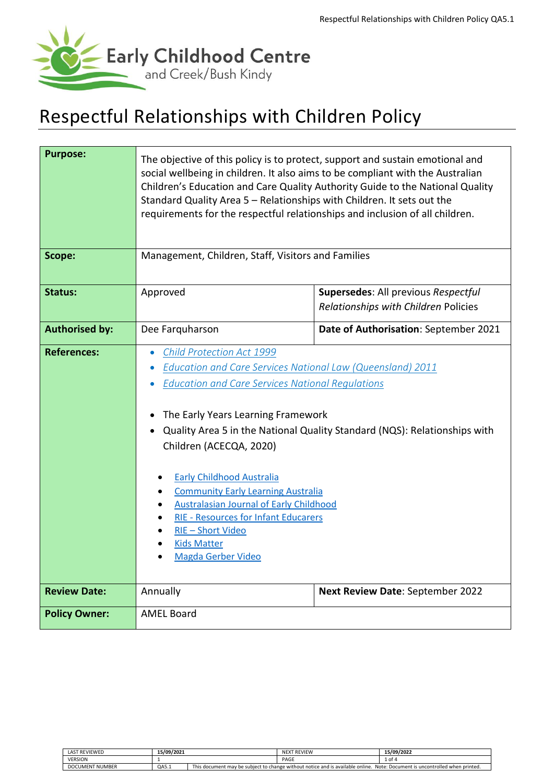

# Respectful Relationships with Children Policy

| <b>Purpose:</b><br>Scope: | The objective of this policy is to protect, support and sustain emotional and<br>social wellbeing in children. It also aims to be compliant with the Australian<br>Children's Education and Care Quality Authority Guide to the National Quality<br>Standard Quality Area 5 - Relationships with Children. It sets out the<br>requirements for the respectful relationships and inclusion of all children.                                                                                                                                                                               |                                                                             |  |  |
|---------------------------|------------------------------------------------------------------------------------------------------------------------------------------------------------------------------------------------------------------------------------------------------------------------------------------------------------------------------------------------------------------------------------------------------------------------------------------------------------------------------------------------------------------------------------------------------------------------------------------|-----------------------------------------------------------------------------|--|--|
|                           | Management, Children, Staff, Visitors and Families                                                                                                                                                                                                                                                                                                                                                                                                                                                                                                                                       |                                                                             |  |  |
| Status:                   | Approved                                                                                                                                                                                                                                                                                                                                                                                                                                                                                                                                                                                 | Supersedes: All previous Respectful<br>Relationships with Children Policies |  |  |
| <b>Authorised by:</b>     | Dee Farquharson<br>Date of Authorisation: September 2021                                                                                                                                                                                                                                                                                                                                                                                                                                                                                                                                 |                                                                             |  |  |
| <b>References:</b>        | Child Protection Act 1999<br>$\bullet$<br>Education and Care Services National Law (Queensland) 2011<br>$\bullet$<br><b>Education and Care Services National Regulations</b><br>The Early Years Learning Framework<br>Quality Area 5 in the National Quality Standard (NQS): Relationships with<br>$\bullet$<br>Children (ACECQA, 2020)<br><b>Early Childhood Australia</b><br><b>Community Early Learning Australia</b><br><b>Australasian Journal of Early Childhood</b><br><b>RIE - Resources for Infant Educarers</b><br>RIE-Short Video<br><b>Kids Matter</b><br>Magda Gerber Video |                                                                             |  |  |
| <b>Review Date:</b>       | Annually                                                                                                                                                                                                                                                                                                                                                                                                                                                                                                                                                                                 | Next Review Date: September 2022                                            |  |  |
| <b>Policy Owner:</b>      | <b>AMEL Board</b>                                                                                                                                                                                                                                                                                                                                                                                                                                                                                                                                                                        |                                                                             |  |  |

| <b><i>FREVIEWED</i></b><br>LAST | 15/09/2021 |                                                                                                                                                   | <b>REVIEW</b><br>NEXT | 15/09/2022 |
|---------------------------------|------------|---------------------------------------------------------------------------------------------------------------------------------------------------|-----------------------|------------|
| <b>VERSION</b>                  |            |                                                                                                                                                   | PAGE                  | ⊥ of ∈     |
| DOCUMENT NUMBER                 | QA5.1      | <b>This</b><br>s document may be subiect to change without notice and is available o<br>. Note: Document is uncontrolled when printed.<br>online. |                       |            |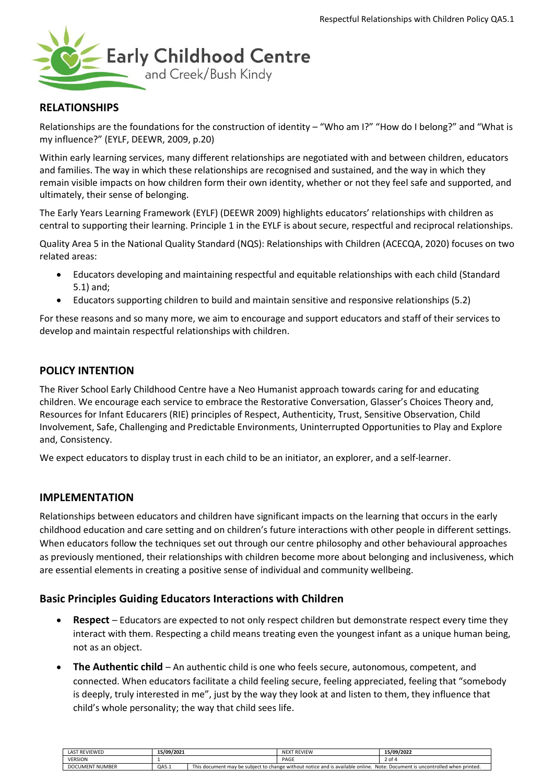

## **RELATIONSHIPS**

Relationships are the foundations for the construction of identity – "Who am I?" "How do I belong?" and "What is my influence?" (EYLF, DEEWR, 2009, p.20)

Within early learning services, many different relationships are negotiated with and between children, educators and families. The way in which these relationships are recognised and sustained, and the way in which they remain visible impacts on how children form their own identity, whether or not they feel safe and supported, and ultimately, their sense of belonging.

The Early Years Learning Framework (EYLF) (DEEWR 2009) highlights educators' relationships with children as central to supporting their learning. Principle 1 in the EYLF is about secure, respectful and reciprocal relationships.

Quality Area 5 in the National Quality Standard (NQS): Relationships with Children (ACECQA, 2020) focuses on two related areas:

- Educators developing and maintaining respectful and equitable relationships with each child (Standard 5.1) and;
- Educators supporting children to build and maintain sensitive and responsive relationships (5.2)

For these reasons and so many more, we aim to encourage and support educators and staff of their services to develop and maintain respectful relationships with children.

### **POLICY INTENTION**

The River School Early Childhood Centre have a Neo Humanist approach towards caring for and educating children. We encourage each service to embrace the Restorative Conversation, Glasser's Choices Theory and, Resources for Infant Educarers (RIE) principles of Respect, Authenticity, Trust, Sensitive Observation, Child Involvement, Safe, Challenging and Predictable Environments, Uninterrupted Opportunities to Play and Explore and, Consistency.

We expect educators to display trust in each child to be an initiator, an explorer, and a self-learner.

# **IMPLEMENTATION**

Relationships between educators and children have significant impacts on the learning that occurs in the early childhood education and care setting and on children's future interactions with other people in different settings. When educators follow the techniques set out through our centre philosophy and other behavioural approaches as previously mentioned, their relationships with children become more about belonging and inclusiveness, which are essential elements in creating a positive sense of individual and community wellbeing.

### **Basic Principles Guiding Educators Interactions with Children**

- **Respect** Educators are expected to not only respect children but demonstrate respect every time they interact with them. Respecting a child means treating even the youngest infant as a unique human being, not as an object.
- **The Authentic child** An authentic child is one who feels secure, autonomous, competent, and connected. When educators facilitate a child feeling secure, feeling appreciated, feeling that "somebody is deeply, truly interested in me", just by the way they look at and listen to them, they influence that child's whole personality; the way that child sees life.

| <b>LAST REVIEWED</b>             | 15/09/2021 |                                                                                                                                                                 | <b>NEXT REVIEW</b> | 15/09/2022 |
|----------------------------------|------------|-----------------------------------------------------------------------------------------------------------------------------------------------------------------|--------------------|------------|
| <b>VERSION</b>                   |            |                                                                                                                                                                 | PAGE               | ∠ of       |
| <b>NUMBER</b><br><b>DOCUMENT</b> | QA5.1      | This<br>Note: Document is uncontrolled when printed.<br>; document may be subiect to change without notice and is available $\overline{\phantom{a}}$<br>online. |                    |            |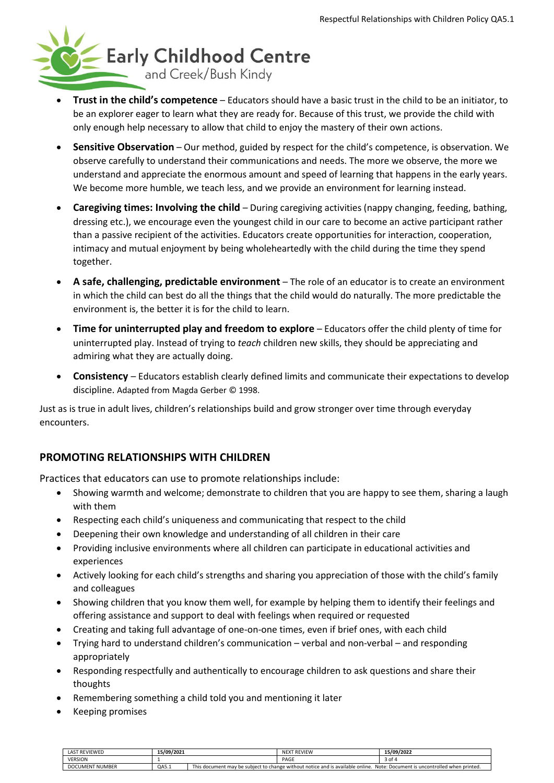

- **Trust in the child's competence** Educators should have a basic trust in the child to be an initiator, to be an explorer eager to learn what they are ready for. Because of this trust, we provide the child with only enough help necessary to allow that child to enjoy the mastery of their own actions.
- **Sensitive Observation** Our method, guided by respect for the child's competence, is observation. We observe carefully to understand their communications and needs. The more we observe, the more we understand and appreciate the enormous amount and speed of learning that happens in the early years. We become more humble, we teach less, and we provide an environment for learning instead.
- **Caregiving times: Involving the child** During caregiving activities (nappy changing, feeding, bathing, dressing etc.), we encourage even the youngest child in our care to become an active participant rather than a passive recipient of the activities. Educators create opportunities for interaction, cooperation, intimacy and mutual enjoyment by being wholeheartedly with the child during the time they spend together.
- **A safe, challenging, predictable environment** The role of an educator is to create an environment in which the child can best do all the things that the child would do naturally. The more predictable the environment is, the better it is for the child to learn.
- **Time for uninterrupted play and freedom to explore** Educators offer the child plenty of time for uninterrupted play. Instead of trying to *teach* children new skills, they should be appreciating and admiring what they are actually doing.
- **Consistency** Educators establish clearly defined limits and communicate their expectations to develop discipline. Adapted from Magda Gerber © 1998.

Just as is true in adult lives, children's relationships build and grow stronger over time through everyday encounters.

# **PROMOTING RELATIONSHIPS WITH CHILDREN**

Practices that educators can use to promote relationships include:

- Showing warmth and welcome; demonstrate to children that you are happy to see them, sharing a laugh with them
- Respecting each child's uniqueness and communicating that respect to the child
- Deepening their own knowledge and understanding of all children in their care
- Providing inclusive environments where all children can participate in educational activities and experiences
- Actively looking for each child's strengths and sharing you appreciation of those with the child's family and colleagues
- Showing children that you know them well, for example by helping them to identify their feelings and offering assistance and support to deal with feelings when required or requested
- Creating and taking full advantage of one-on-one times, even if brief ones, with each child
- Trying hard to understand children's communication verbal and non-verbal and responding appropriately
- Responding respectfully and authentically to encourage children to ask questions and share their thoughts
- Remembering something a child told you and mentioning it later
- Keeping promises

| <b>LAST REVIEWED</b>   | 15/09/2021 |                                                                                                                                | NEXT REVIEW | 15/09/2022 |
|------------------------|------------|--------------------------------------------------------------------------------------------------------------------------------|-------------|------------|
| <b>VERSION</b>         |            |                                                                                                                                | PAGE        | ⊿ of 4     |
| <b>DOCUMENT NUMBER</b> | QA5.1      | This document may be subject to change without notice and is available online.<br>Note: Document is uncontrolled when printed. |             |            |